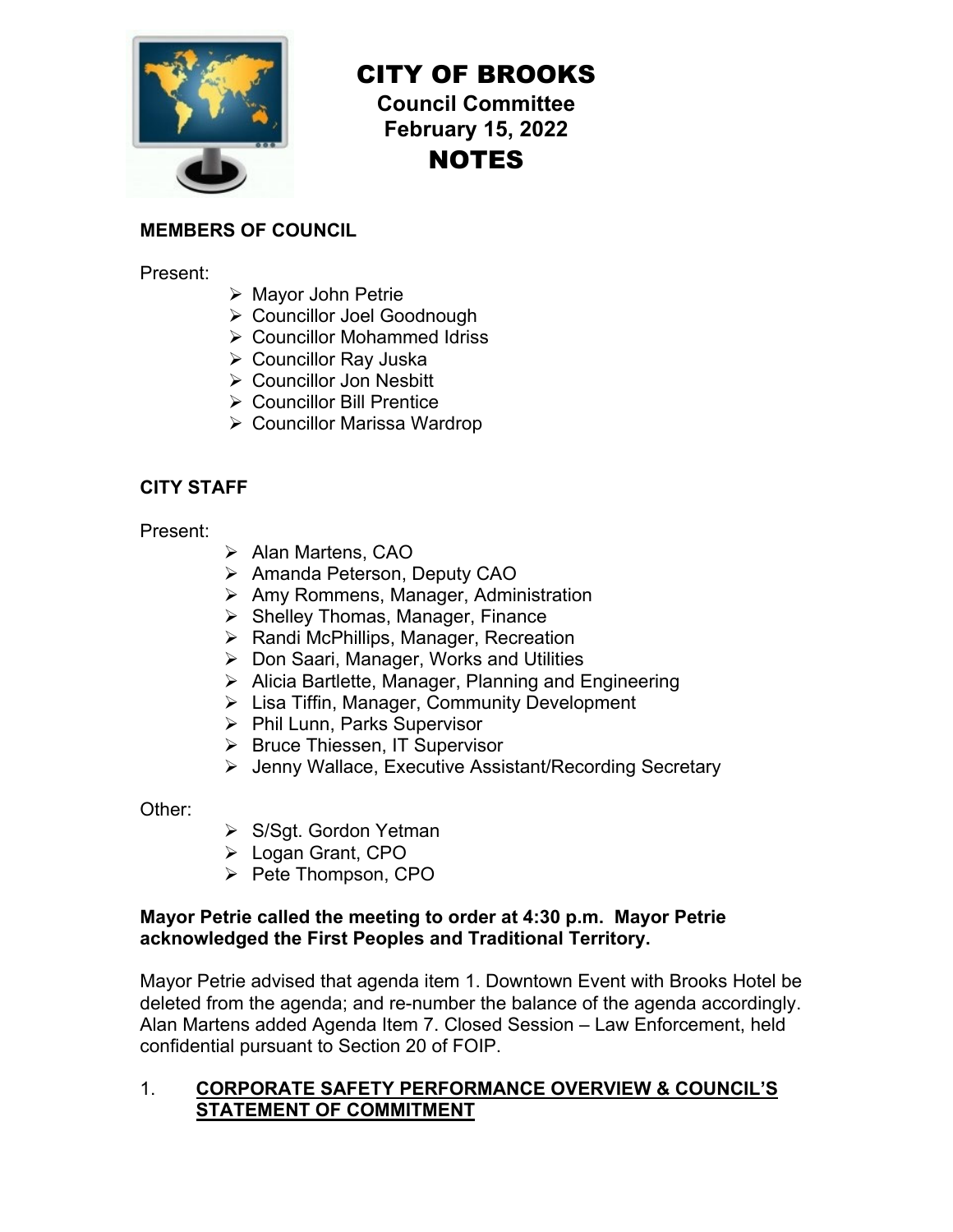

# CITY OF BROOKS

**Council Committee February 15, 2022**  NOTES

## **MEMBERS OF COUNCIL**

Present:

- Mayor John Petrie
- Councillor Joel Goodnough
- Councillor Mohammed Idriss
- Councillor Ray Juska
- Councillor Jon Nesbitt
- **▶ Councillor Bill Prentice**
- Councillor Marissa Wardrop

## **CITY STAFF**

Present:

- ▶ Alan Martens, CAO
- ▶ Amanda Peterson, Deputy CAO
- **▶ Amy Rommens, Manager, Administration**
- $\triangleright$  Shelley Thomas, Manager, Finance
- $\triangleright$  Randi McPhillips, Manager, Recreation
- ▶ Don Saari, Manager, Works and Utilities
- $\triangleright$  Alicia Bartlette, Manager, Planning and Engineering
- ▶ Lisa Tiffin, Manager, Community Development
- $\triangleright$  Phil Lunn, Parks Supervisor
- ▶ Bruce Thiessen, IT Supervisor
- Jenny Wallace, Executive Assistant/Recording Secretary

Other:

- ▶ S/Sgt. Gordon Yetman
- Logan Grant, CPO
- $\triangleright$  Pete Thompson, CPO

#### **Mayor Petrie called the meeting to order at 4:30 p.m. Mayor Petrie acknowledged the First Peoples and Traditional Territory.**

Mayor Petrie advised that agenda item 1. Downtown Event with Brooks Hotel be deleted from the agenda; and re-number the balance of the agenda accordingly. Alan Martens added Agenda Item 7. Closed Session – Law Enforcement, held confidential pursuant to Section 20 of FOIP.

### 1. **CORPORATE SAFETY PERFORMANCE OVERVIEW & COUNCIL'S STATEMENT OF COMMITMENT**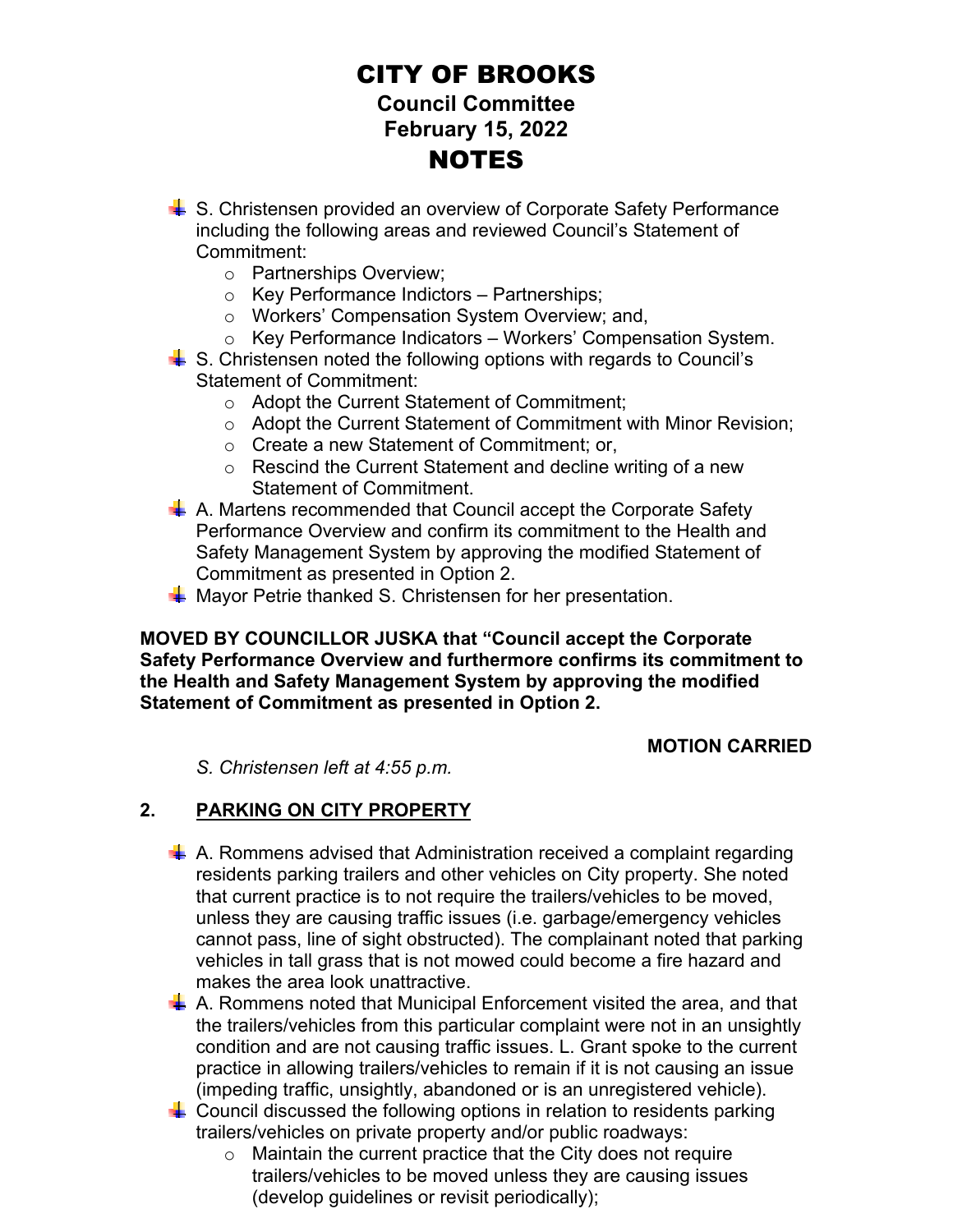- **↓ S. Christensen provided an overview of Corporate Safety Performance** including the following areas and reviewed Council's Statement of Commitment:
	- o Partnerships Overview;
	- o Key Performance Indictors Partnerships;
	- o Workers' Compensation System Overview; and,
	- o Key Performance Indicators Workers' Compensation System.
- $\frac{1}{2}$  S. Christensen noted the following options with regards to Council's Statement of Commitment:
	- o Adopt the Current Statement of Commitment;
	- o Adopt the Current Statement of Commitment with Minor Revision;
	- o Create a new Statement of Commitment; or,
	- o Rescind the Current Statement and decline writing of a new Statement of Commitment.
- $\frac{1}{2}$  A. Martens recommended that Council accept the Corporate Safety Performance Overview and confirm its commitment to the Health and Safety Management System by approving the modified Statement of Commitment as presented in Option 2.
- $\frac{1}{2}$  Mayor Petrie thanked S. Christensen for her presentation.

#### **MOVED BY COUNCILLOR JUSKA that "Council accept the Corporate Safety Performance Overview and furthermore confirms its commitment to the Health and Safety Management System by approving the modified Statement of Commitment as presented in Option 2.**

#### **MOTION CARRIED**

*S. Christensen left at 4:55 p.m.* 

## **2. PARKING ON CITY PROPERTY**

- $\frac{1}{2}$  A. Rommens advised that Administration received a complaint regarding residents parking trailers and other vehicles on City property. She noted that current practice is to not require the trailers/vehicles to be moved, unless they are causing traffic issues (i.e. garbage/emergency vehicles cannot pass, line of sight obstructed). The complainant noted that parking vehicles in tall grass that is not mowed could become a fire hazard and makes the area look unattractive.
- $\frac{1}{2}$  A. Rommens noted that Municipal Enforcement visited the area, and that the trailers/vehicles from this particular complaint were not in an unsightly condition and are not causing traffic issues. L. Grant spoke to the current practice in allowing trailers/vehicles to remain if it is not causing an issue (impeding traffic, unsightly, abandoned or is an unregistered vehicle).
- $\downarrow$  Council discussed the following options in relation to residents parking trailers/vehicles on private property and/or public roadways:
	- $\circ$  Maintain the current practice that the City does not require trailers/vehicles to be moved unless they are causing issues (develop guidelines or revisit periodically);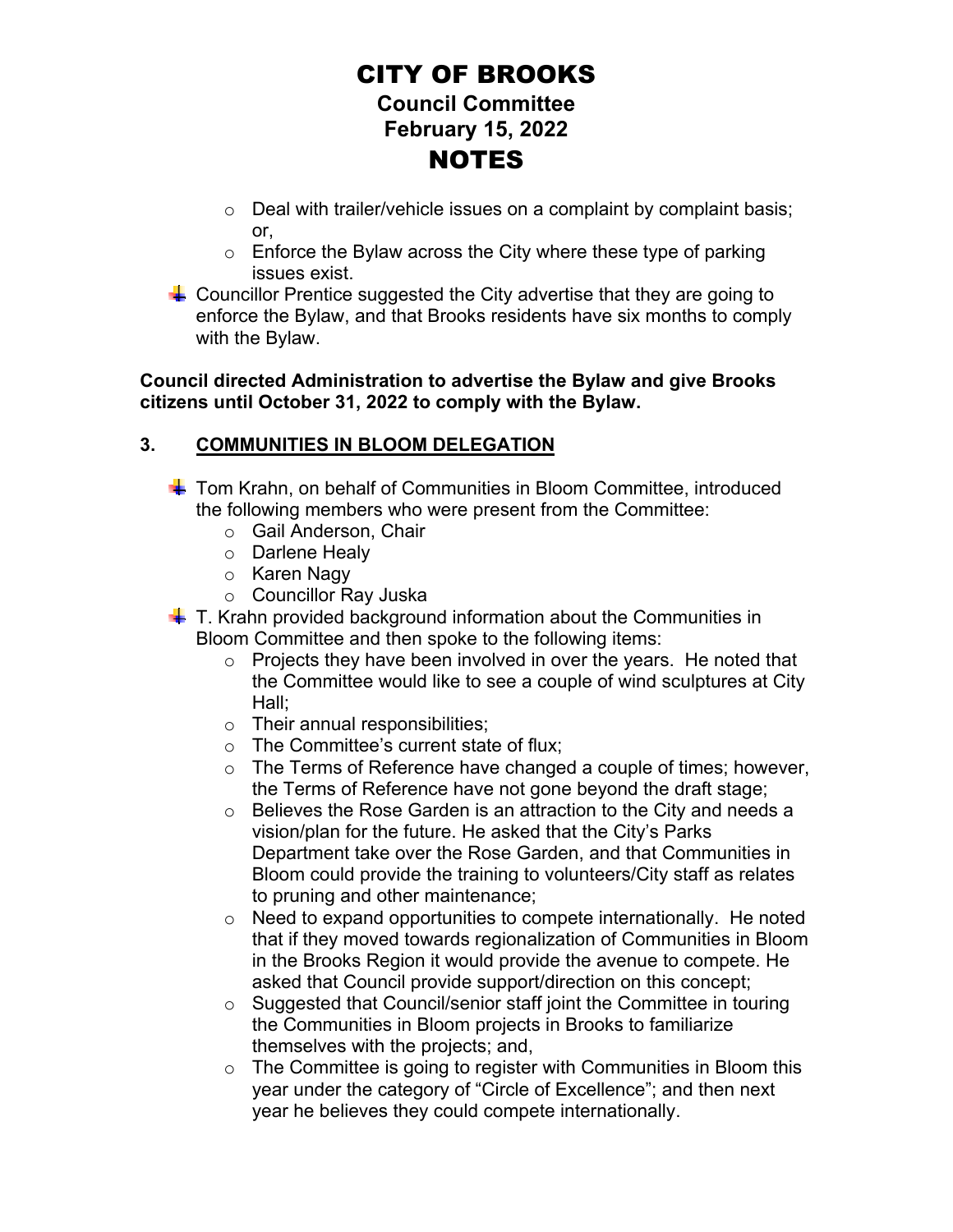- $\circ$  Deal with trailer/vehicle issues on a complaint by complaint basis; or,
- $\circ$  Enforce the Bylaw across the City where these type of parking issues exist.
- $\frac{1}{2}$  Councillor Prentice suggested the City advertise that they are going to enforce the Bylaw, and that Brooks residents have six months to comply with the Bylaw.

**Council directed Administration to advertise the Bylaw and give Brooks citizens until October 31, 2022 to comply with the Bylaw.** 

## **3. COMMUNITIES IN BLOOM DELEGATION**

- ↓ Tom Krahn, on behalf of Communities in Bloom Committee, introduced the following members who were present from the Committee:
	- o Gail Anderson, Chair
	- o Darlene Healy
	- o Karen Nagy
	- o Councillor Ray Juska
- $\frac{1}{2}$  T. Krahn provided background information about the Communities in Bloom Committee and then spoke to the following items:
	- $\circ$  Projects they have been involved in over the years. He noted that the Committee would like to see a couple of wind sculptures at City Hall;
	- o Their annual responsibilities;
	- o The Committee's current state of flux;
	- o The Terms of Reference have changed a couple of times; however, the Terms of Reference have not gone beyond the draft stage;
	- o Believes the Rose Garden is an attraction to the City and needs a vision/plan for the future. He asked that the City's Parks Department take over the Rose Garden, and that Communities in Bloom could provide the training to volunteers/City staff as relates to pruning and other maintenance;
	- o Need to expand opportunities to compete internationally. He noted that if they moved towards regionalization of Communities in Bloom in the Brooks Region it would provide the avenue to compete. He asked that Council provide support/direction on this concept;
	- o Suggested that Council/senior staff joint the Committee in touring the Communities in Bloom projects in Brooks to familiarize themselves with the projects; and,
	- $\circ$  The Committee is going to register with Communities in Bloom this year under the category of "Circle of Excellence"; and then next year he believes they could compete internationally.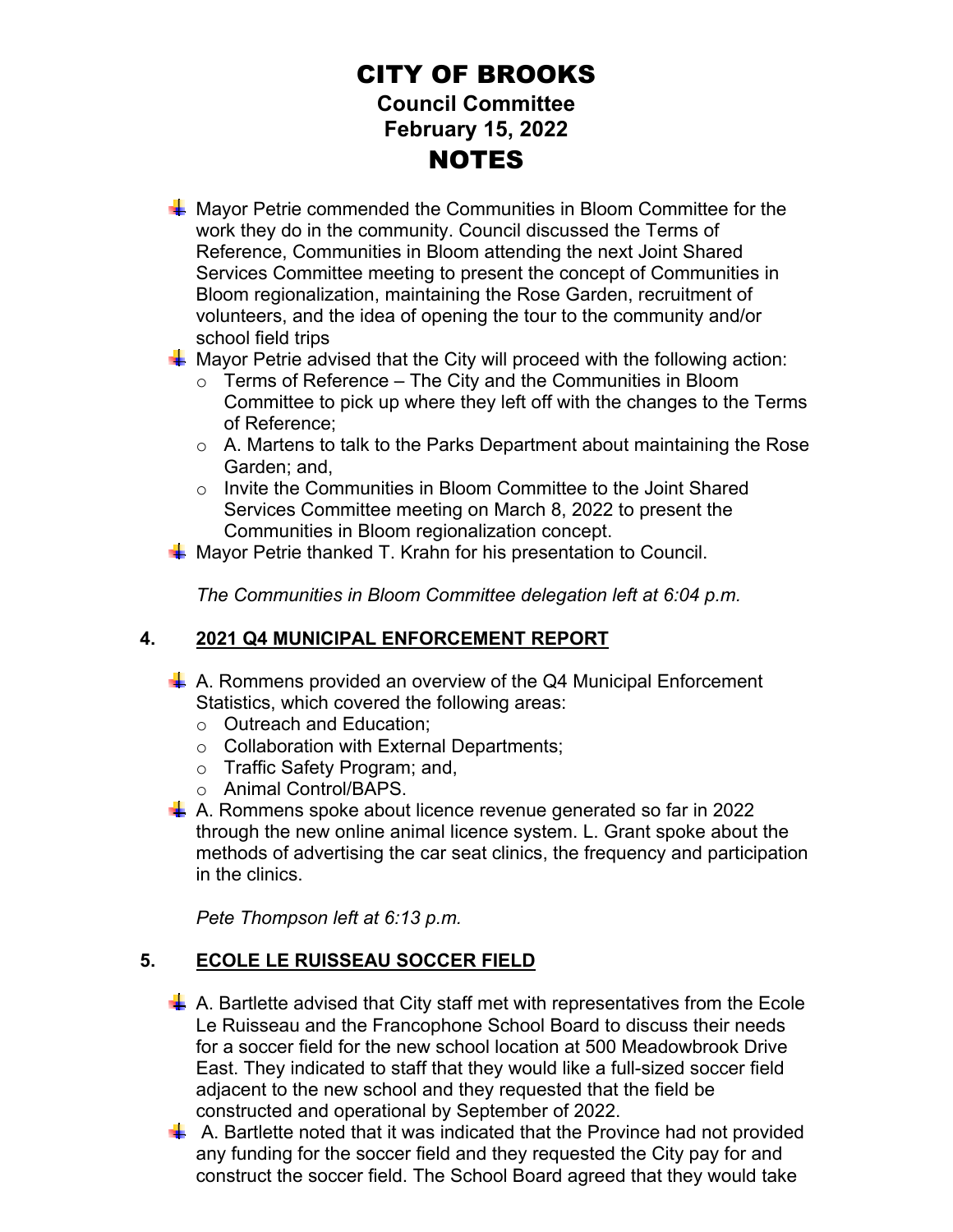- **A** Mayor Petrie commended the Communities in Bloom Committee for the work they do in the community. Council discussed the Terms of Reference, Communities in Bloom attending the next Joint Shared Services Committee meeting to present the concept of Communities in Bloom regionalization, maintaining the Rose Garden, recruitment of volunteers, and the idea of opening the tour to the community and/or school field trips
- $\frac{1}{2}$  Mayor Petrie advised that the City will proceed with the following action:
	- $\circ$  Terms of Reference The City and the Communities in Bloom Committee to pick up where they left off with the changes to the Terms of Reference;
	- o A. Martens to talk to the Parks Department about maintaining the Rose Garden; and,
	- o Invite the Communities in Bloom Committee to the Joint Shared Services Committee meeting on March 8, 2022 to present the Communities in Bloom regionalization concept.
- $\frac{1}{\sqrt{2}}$  Mayor Petrie thanked T. Krahn for his presentation to Council.

*The Communities in Bloom Committee delegation left at 6:04 p.m.* 

## **4. 2021 Q4 MUNICIPAL ENFORCEMENT REPORT**

- $\perp$  A. Rommens provided an overview of the Q4 Municipal Enforcement Statistics, which covered the following areas:
	- o Outreach and Education;
	- o Collaboration with External Departments;
	- o Traffic Safety Program; and,
	- o Animal Control/BAPS.
- $\uparrow$  A. Rommens spoke about licence revenue generated so far in 2022 through the new online animal licence system. L. Grant spoke about the methods of advertising the car seat clinics, the frequency and participation in the clinics.

*Pete Thompson left at 6:13 p.m.*

## **5. ECOLE LE RUISSEAU SOCCER FIELD**

- $\frac{1}{2}$  A. Bartlette advised that City staff met with representatives from the Ecole Le Ruisseau and the Francophone School Board to discuss their needs for a soccer field for the new school location at 500 Meadowbrook Drive East. They indicated to staff that they would like a full-sized soccer field adjacent to the new school and they requested that the field be constructed and operational by September of 2022.
- $\frac{1}{2}$  A. Bartlette noted that it was indicated that the Province had not provided any funding for the soccer field and they requested the City pay for and construct the soccer field. The School Board agreed that they would take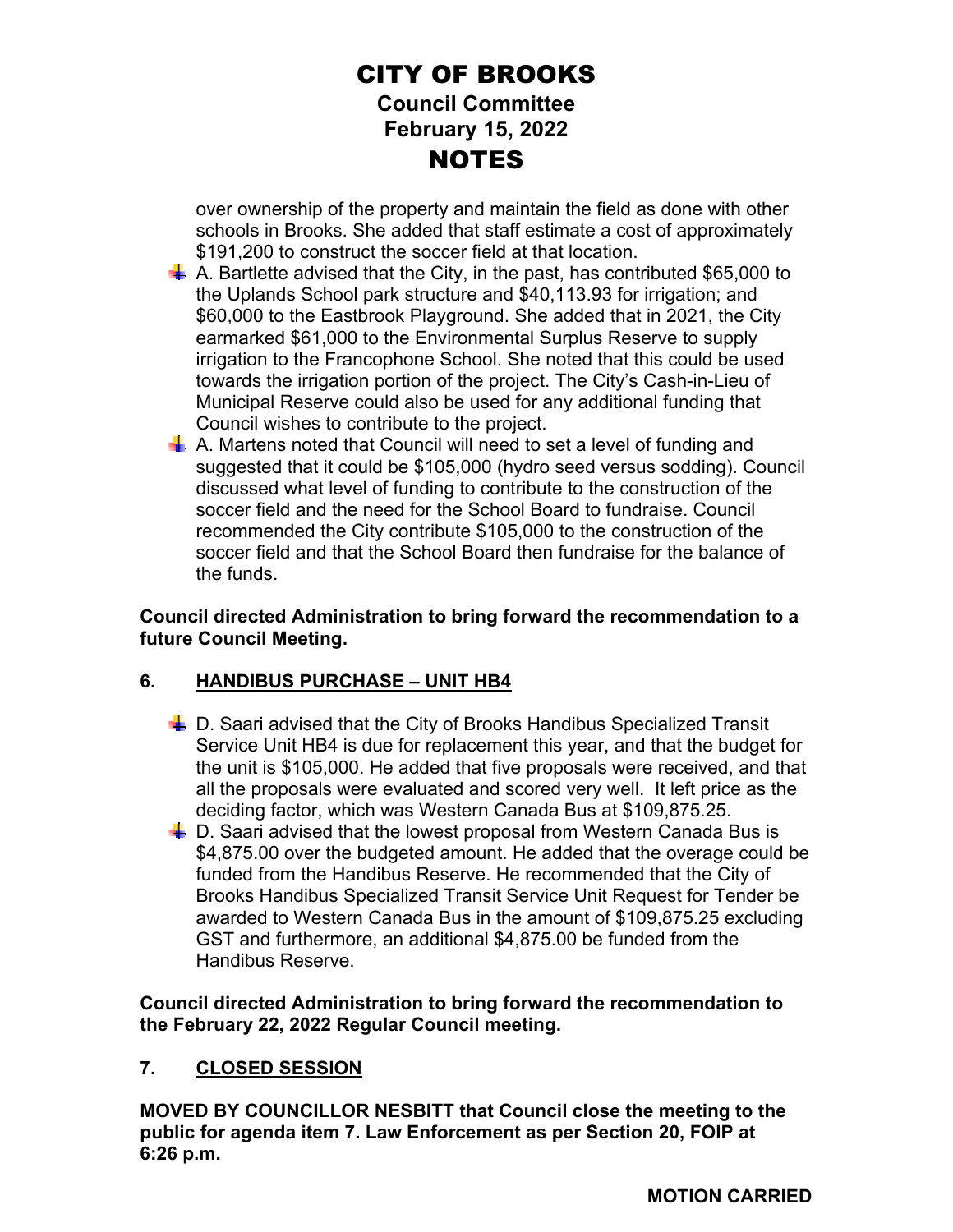over ownership of the property and maintain the field as done with other schools in Brooks. She added that staff estimate a cost of approximately \$191,200 to construct the soccer field at that location.

- $\overline{\phantom{a}}$  A. Bartlette advised that the City, in the past, has contributed \$65,000 to the Uplands School park structure and \$40,113.93 for irrigation; and \$60,000 to the Eastbrook Playground. She added that in 2021, the City earmarked \$61,000 to the Environmental Surplus Reserve to supply irrigation to the Francophone School. She noted that this could be used towards the irrigation portion of the project. The City's Cash-in-Lieu of Municipal Reserve could also be used for any additional funding that Council wishes to contribute to the project.
- $\frac{1}{2}$  A. Martens noted that Council will need to set a level of funding and suggested that it could be \$105,000 (hydro seed versus sodding). Council discussed what level of funding to contribute to the construction of the soccer field and the need for the School Board to fundraise. Council recommended the City contribute \$105,000 to the construction of the soccer field and that the School Board then fundraise for the balance of the funds.

## **Council directed Administration to bring forward the recommendation to a future Council Meeting.**

## **6. HANDIBUS PURCHASE – UNIT HB4**

- $\frac{1}{2}$  D. Saari advised that the City of Brooks Handibus Specialized Transit Service Unit HB4 is due for replacement this year, and that the budget for the unit is \$105,000. He added that five proposals were received, and that all the proposals were evaluated and scored very well. It left price as the deciding factor, which was Western Canada Bus at \$109,875.25.
- $\frac{1}{2}$  D. Saari advised that the lowest proposal from Western Canada Bus is \$4,875.00 over the budgeted amount. He added that the overage could be funded from the Handibus Reserve. He recommended that the City of Brooks Handibus Specialized Transit Service Unit Request for Tender be awarded to Western Canada Bus in the amount of \$109,875.25 excluding GST and furthermore, an additional \$4,875.00 be funded from the Handibus Reserve.

**Council directed Administration to bring forward the recommendation to the February 22, 2022 Regular Council meeting.** 

## **7. CLOSED SESSION**

**MOVED BY COUNCILLOR NESBITT that Council close the meeting to the public for agenda item 7. Law Enforcement as per Section 20, FOIP at 6:26 p.m.**